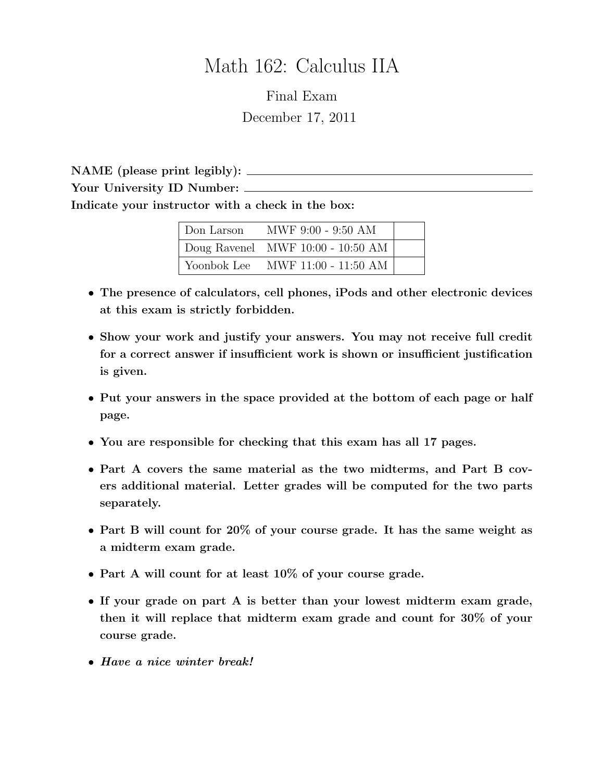# Math 162: Calculus IIA

Final Exam December 17, 2011

NAME (please print legibly): Your University ID Number: Indicate your instructor with a check in the box:

| Don Larson  | MWF 9:00 - 9:50 AM                        |  |
|-------------|-------------------------------------------|--|
|             | $\vert$ Doug Ravenel MWF 10:00 - 10:50 AM |  |
| Yoonbok Lee | MWF 11:00 - 11:50 AM                      |  |

- The presence of calculators, cell phones, iPods and other electronic devices at this exam is strictly forbidden.
- Show your work and justify your answers. You may not receive full credit for a correct answer if insufficient work is shown or insufficient justification is given.
- Put your answers in the space provided at the bottom of each page or half page.
- You are responsible for checking that this exam has all 17 pages.
- Part A covers the same material as the two midterms, and Part B covers additional material. Letter grades will be computed for the two parts separately.
- Part B will count for 20% of your course grade. It has the same weight as a midterm exam grade.
- Part A will count for at least 10% of your course grade.
- If your grade on part A is better than your lowest midterm exam grade, then it will replace that midterm exam grade and count for 30% of your course grade.
- Have a nice winter break!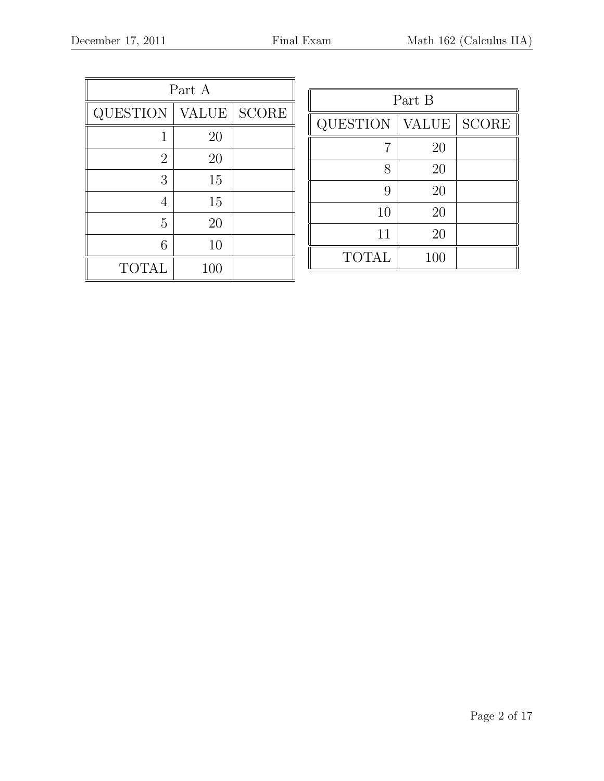| Part A          |              |              |  |  |
|-----------------|--------------|--------------|--|--|
| <b>QUESTION</b> | <b>VALUE</b> | <b>SCORE</b> |  |  |
| 1               | 20           |              |  |  |
| $\overline{2}$  | 20           |              |  |  |
| 3               | 15           |              |  |  |
| 4               | 15           |              |  |  |
| 5               | 20           |              |  |  |
| 6               | 10           |              |  |  |
| <b>TOTAL</b>    | 100          |              |  |  |

| Part B          |              |                        |  |  |
|-----------------|--------------|------------------------|--|--|
| <b>QUESTION</b> | <b>VALUE</b> | $\operatorname{SCORE}$ |  |  |
|                 | 20           |                        |  |  |
| 8               | 20           |                        |  |  |
| 9               | 20           |                        |  |  |
| 10              | 20           |                        |  |  |
| 11              | 20           |                        |  |  |
| <b>TOTAL</b>    | 100          |                        |  |  |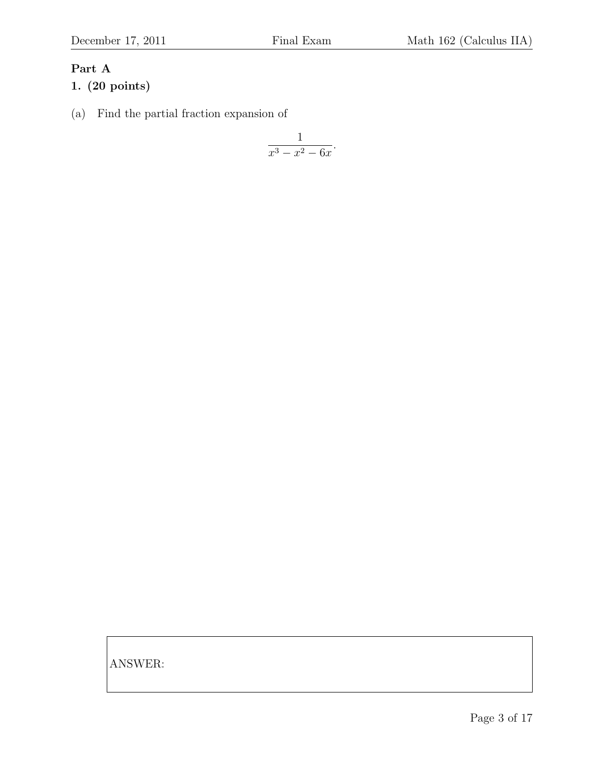# Part A

# 1. (20 points)

(a) Find the partial fraction expansion of

$$
\frac{1}{x^3 - x^2 - 6x}.
$$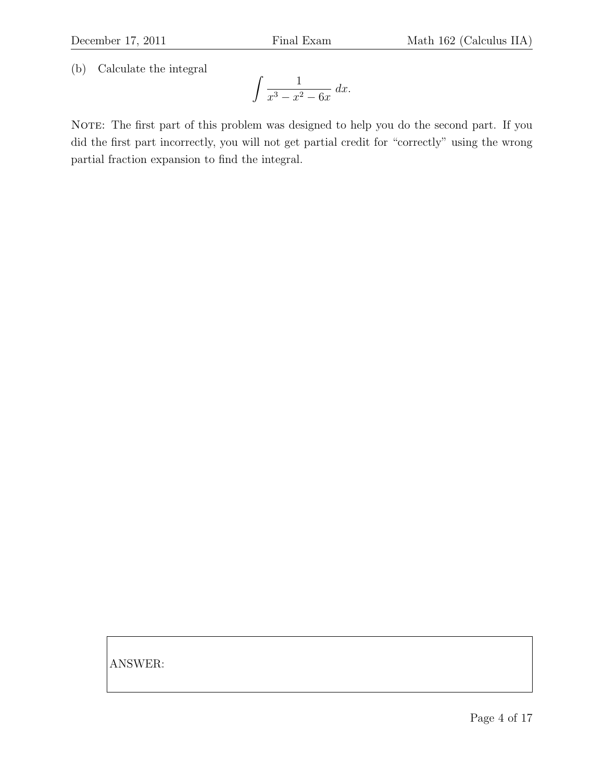(b) Calculate the integral

$$
\int \frac{1}{x^3 - x^2 - 6x} dx.
$$

NOTE: The first part of this problem was designed to help you do the second part. If you did the first part incorrectly, you will not get partial credit for "correctly" using the wrong partial fraction expansion to find the integral.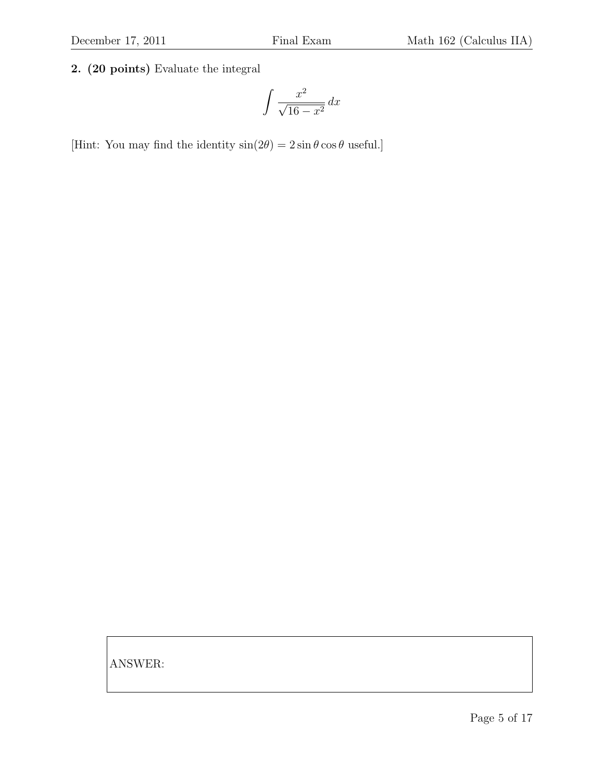#### 2. (20 points) Evaluate the integral

$$
\int \frac{x^2}{\sqrt{16 - x^2}} \, dx
$$

[Hint: You may find the identity  $sin(2\theta) = 2 sin \theta cos \theta$  useful.]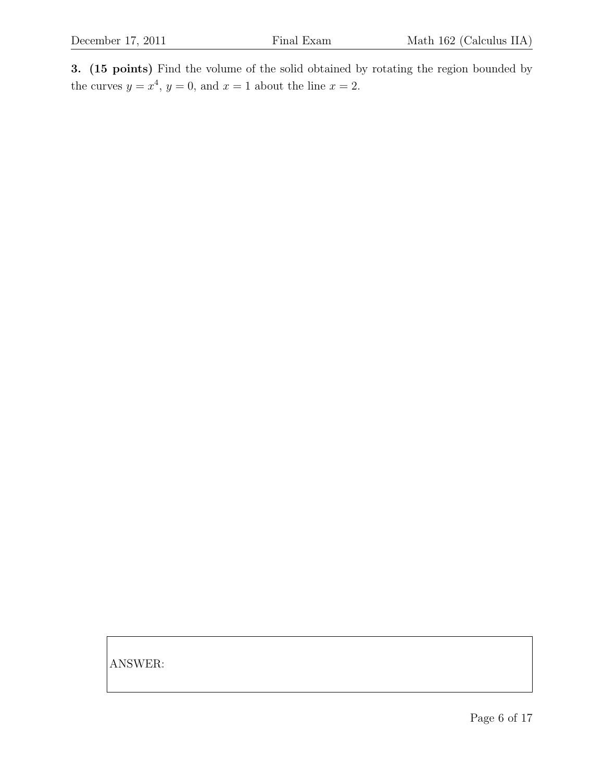3. (15 points) Find the volume of the solid obtained by rotating the region bounded by the curves  $y = x^4$ ,  $y = 0$ , and  $x = 1$  about the line  $x = 2$ .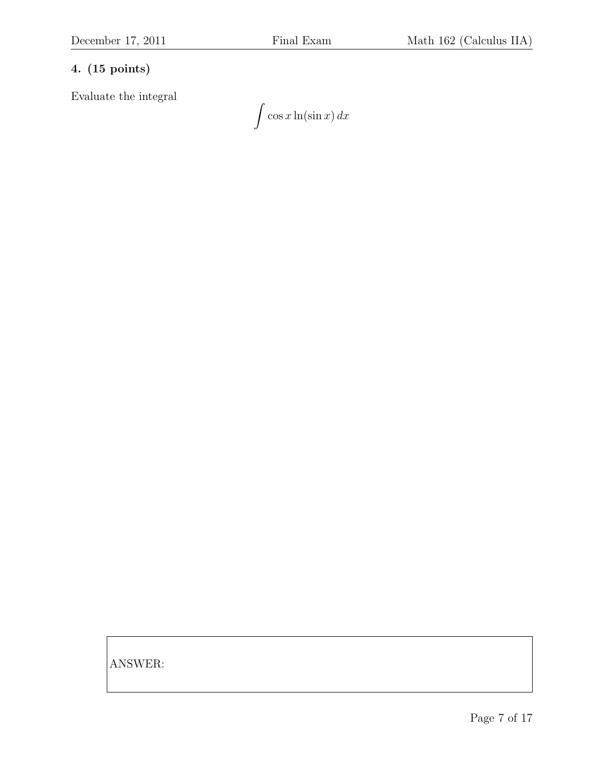#### 4. (15 points)

Evaluate the integral

 $\int \cos x \ln(\sin x) dx$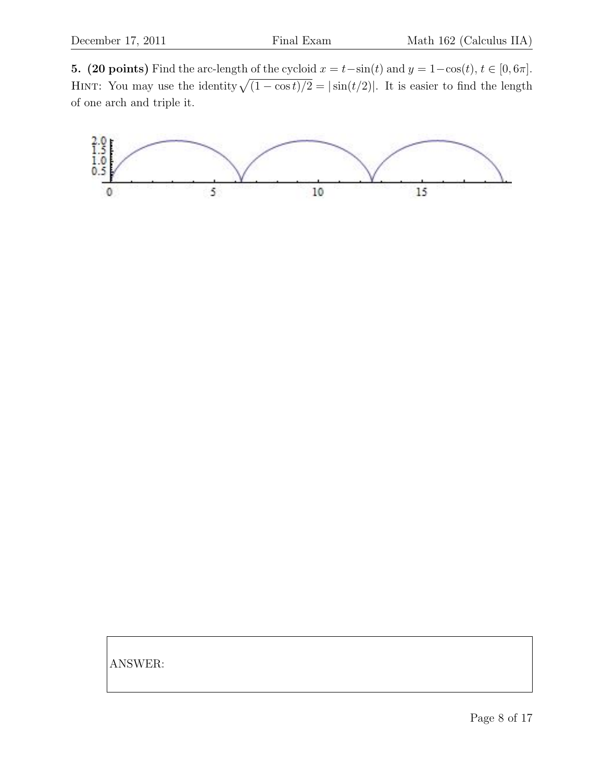5. (20 points) Find the arc-length of the cycloid  $x = t-\sin(t)$  and  $y = 1-\cos(t)$ ,  $t \in [0, 6\pi]$ . HINT: You may use the identity  $\sqrt{(1 - \cos t)/2} = |\sin(t/2)|$ . It is easier to find the length of one arch and triple it.

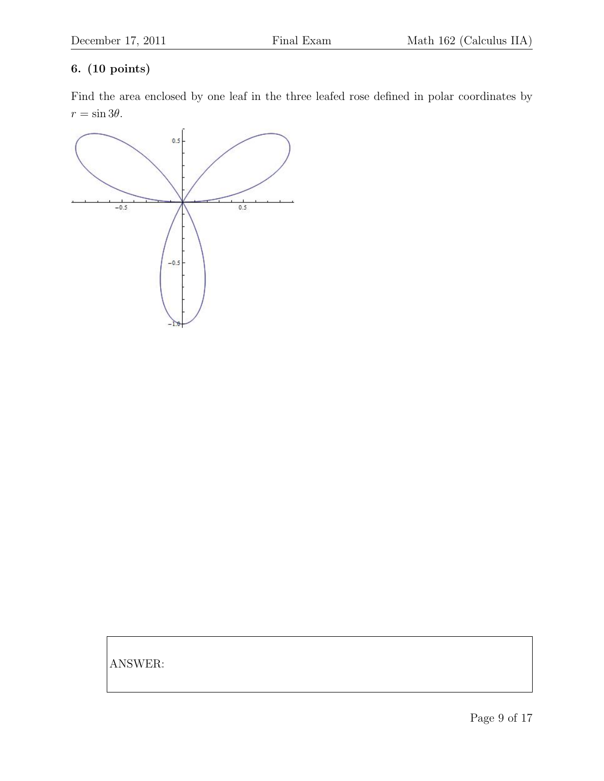#### 6. (10 points)

Find the area enclosed by one leaf in the three leafed rose defined in polar coordinates by  $r = \sin 3\theta$ .

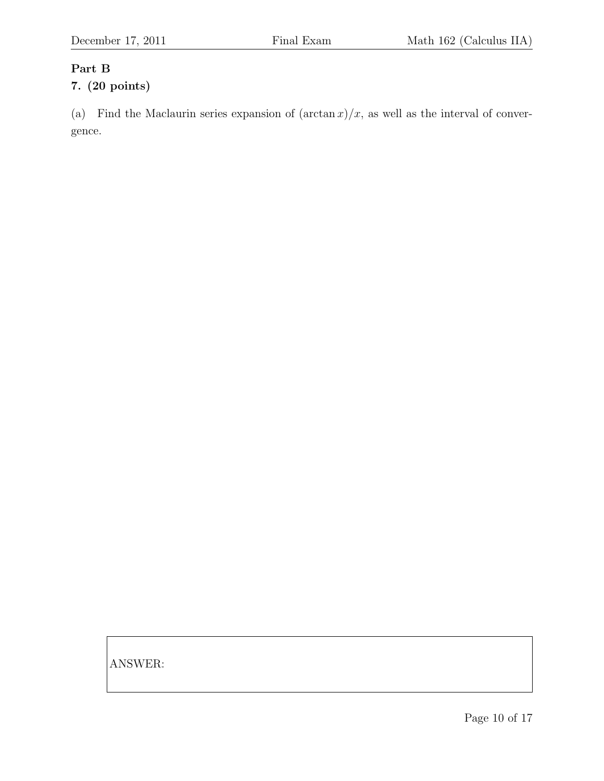#### Part B

# 7. (20 points)

(a) Find the Maclaurin series expansion of  $(\arctan x)/x$ , as well as the interval of convergence.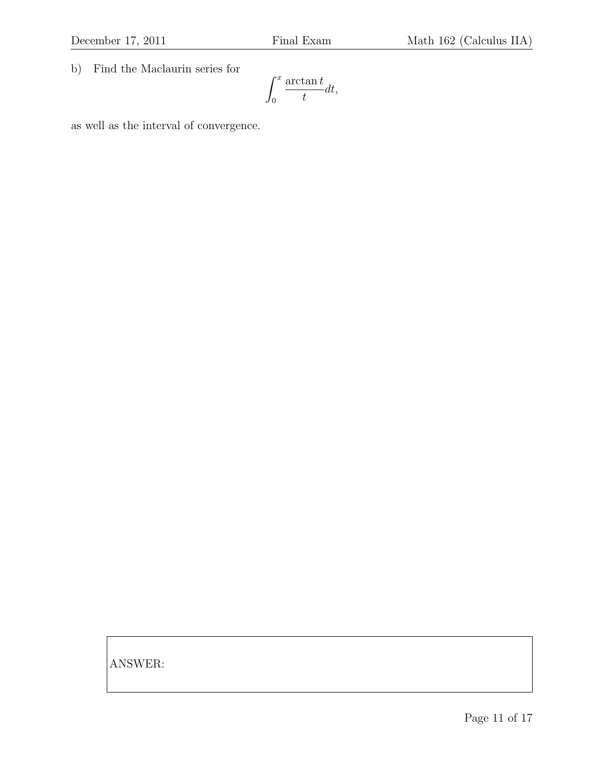b) Find the Maclaurin series for

$$
\int_0^x \frac{\arctan t}{t} dt,
$$

as well as the interval of convergence.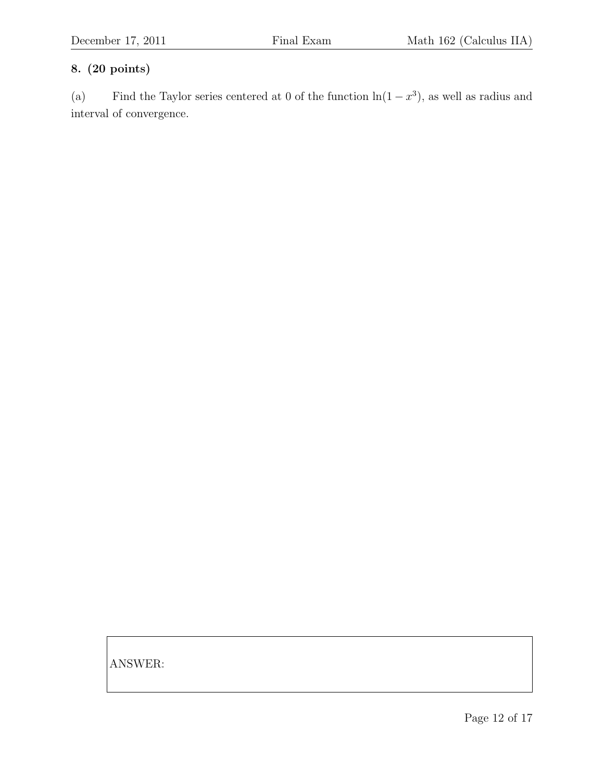### 8. (20 points)

(a) Find the Taylor series centered at 0 of the function  $\ln(1-x^3)$ , as well as radius and interval of convergence.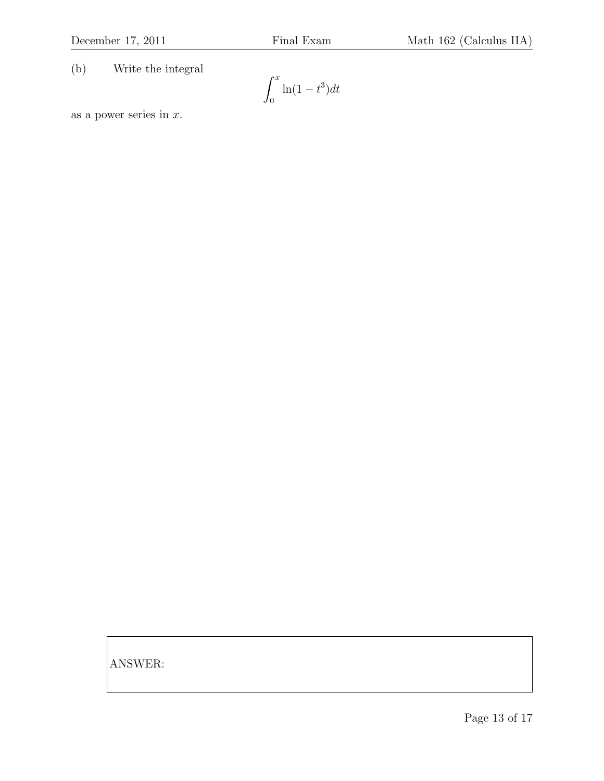(b) Write the integral

$$
\int_0^x \ln(1-t^3)dt
$$

as a power series in  $x$ .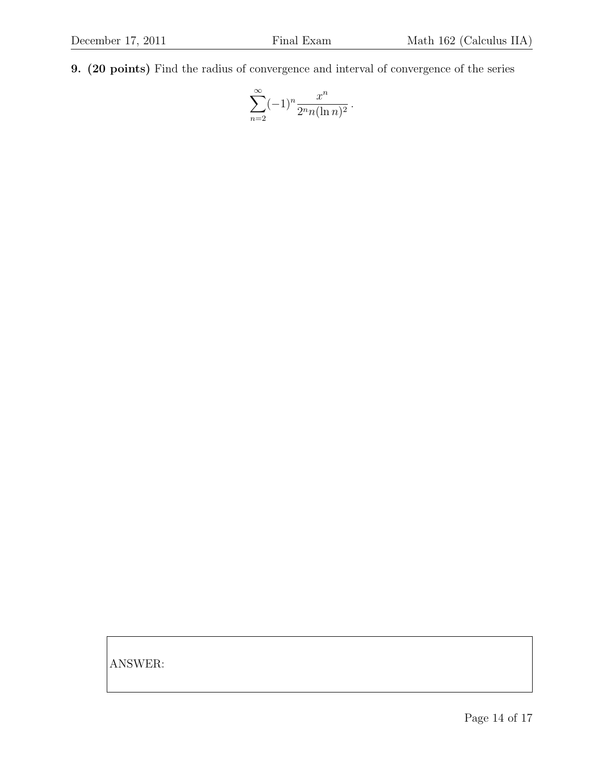9. (20 points) Find the radius of convergence and interval of convergence of the series

$$
\sum_{n=2}^{\infty} (-1)^n \frac{x^n}{2^n n (\ln n)^2}.
$$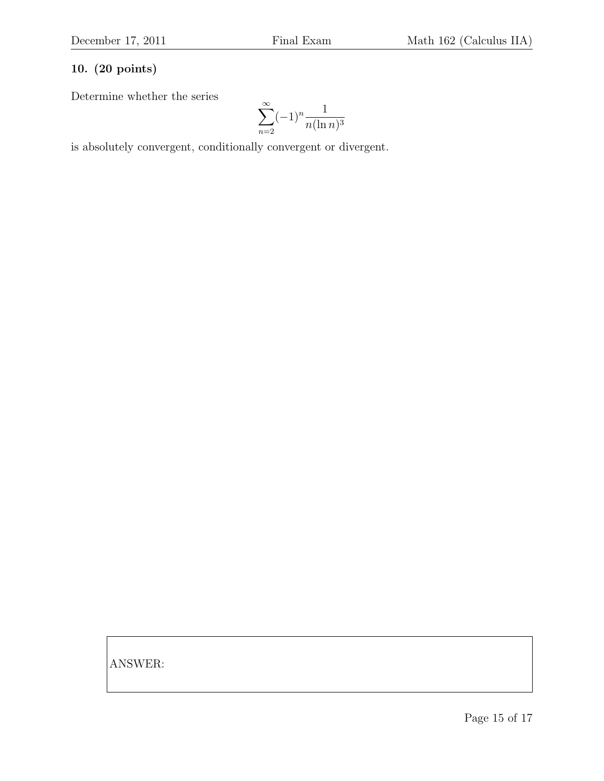# 10. (20 points)

Determine whether the series

$$
\sum_{n=2}^{\infty} (-1)^n \frac{1}{n(\ln n)^3}
$$

is absolutely convergent, conditionally convergent or divergent.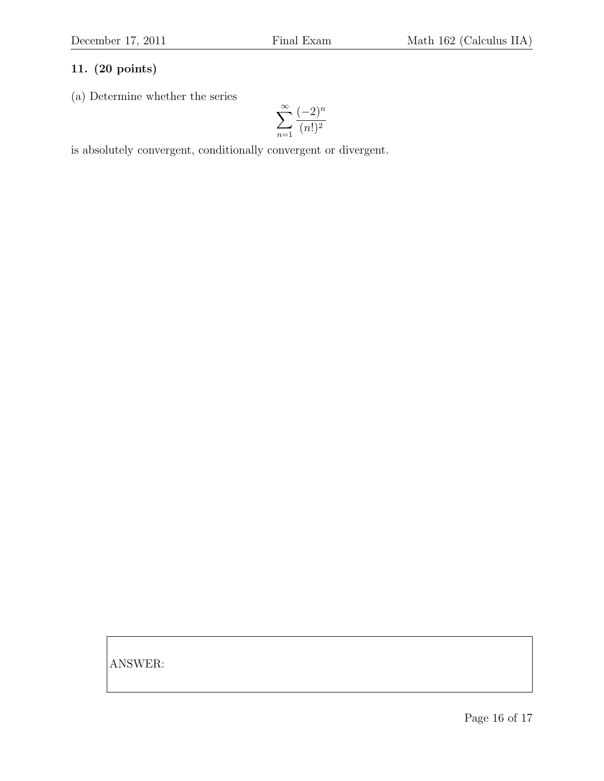#### 11. (20 points)

(a) Determine whether the series

$$
\sum_{n=1}^\infty\frac{(-2)^n}{(n!)^2}
$$

is absolutely convergent, conditionally convergent or divergent.